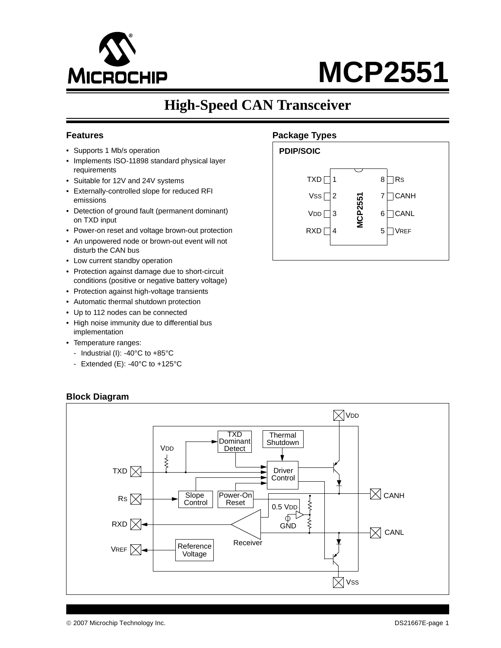

# **MCP2551**

# **High-Speed CAN Transceiver**

#### **Features**

- Supports 1 Mb/s operation
- Implements ISO-11898 standard physical layer requirements
- Suitable for 12V and 24V systems
- Externally-controlled slope for reduced RFI emissions
- Detection of ground fault (permanent dominant) on TXD input
- Power-on reset and voltage brown-out protection
- An unpowered node or brown-out event will not disturb the CAN bus
- Low current standby operation
- Protection against damage due to short-circuit conditions (positive or negative battery voltage)
- Protection against high-voltage transients
- Automatic thermal shutdown protection
- Up to 112 nodes can be connected
- High noise immunity due to differential bus implementation
- Temperature ranges:
	- Industrial (I): -40 $^{\circ}$ C to +85 $^{\circ}$ C
	- Extended (E): -40 $^{\circ}$ C to +125 $^{\circ}$ C



#### **Block Diagram**

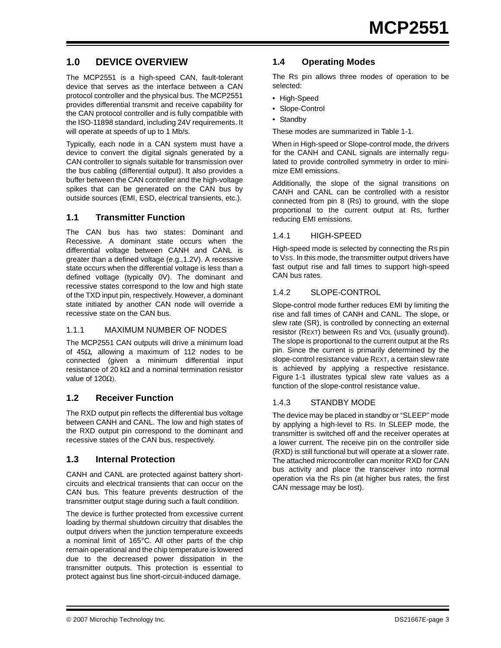## **1.0 DEVICE OVERVIEW**

The MCP2551 is a high-speed CAN, fault-tolerant device that serves as the interface between a CAN protocol controller and the physical bus. The MCP2551 provides differential transmit and receive capability for the CAN protocol controller and is fully compatible with the ISO-11898 standard, including 24V requirements. It will operate at speeds of up to 1 Mb/s.

Typically, each node in a CAN system must have a device to convert the digital signals generated by a CAN controller to signals suitable for transmission over the bus cabling (differential output). It also provides a buffer between the CAN controller and the high-voltage spikes that can be generated on the CAN bus by outside sources (EMI, ESD, electrical transients, etc.).

#### **1.1 Transmitter Function**

The CAN bus has two states: Dominant and Recessive. A dominant state occurs when the differential voltage between CANH and CANL is greater than a defined voltage (e.g.,1.2V). A recessive state occurs when the differential voltage is less than a defined voltage (typically 0V). The dominant and recessive states correspond to the low and high state of the TXD input pin, respectively. However, a dominant state initiated by another CAN node will override a recessive state on the CAN bus.

#### 1.1.1 MAXIMUM NUMBER OF NODES

The MCP2551 CAN outputs will drive a minimum load of 45Ω, allowing a maximum of 112 nodes to be connected (given a minimum differential input resistance of 20 kΩ and a nominal termination resistor value of 120Ω).

## **1.2 Receiver Function**

The RXD output pin reflects the differential bus voltage between CANH and CANL. The low and high states of the RXD output pin correspond to the dominant and recessive states of the CAN bus, respectively.

## **1.3 Internal Protection**

CANH and CANL are protected against battery shortcircuits and electrical transients that can occur on the CAN bus. This feature prevents destruction of the transmitter output stage during such a fault condition.

The device is further protected from excessive current loading by thermal shutdown circuitry that disables the output drivers when the junction temperature exceeds a nominal limit of 165°C. All other parts of the chip remain operational and the chip temperature is lowered due to the decreased power dissipation in the transmitter outputs. This protection is essential to protect against bus line short-circuit-induced damage.

## **1.4 Operating Modes**

The RS pin allows three modes of operation to be selected:

- High-Speed
- Slope-Control
- Standby

These modes are summarized in [Table 1-1](#page-3-0).

When in High-speed or Slope-control mode, the drivers for the CANH and CANL signals are internally regulated to provide controlled symmetry in order to minimize EMI emissions.

Additionally, the slope of the signal transitions on CANH and CANL can be controlled with a resistor connected from pin 8 (RS) to ground, with the slope proportional to the current output at RS, further reducing EMI emissions.

#### 1.4.1 HIGH-SPEED

High-speed mode is selected by connecting the RS pin to VSS. In this mode, the transmitter output drivers have fast output rise and fall times to support high-speed CAN bus rates.

#### 1.4.2 SLOPE-CONTROL

Slope-control mode further reduces EMI by limiting the rise and fall times of CANH and CANL. The slope, or slew rate (SR), is controlled by connecting an external resistor (REXT) between RS and VOL (usually ground). The slope is proportional to the current output at the RS pin. Since the current is primarily determined by the slope-control resistance value REXT, a certain slew rate is achieved by applying a respective resistance. [Figure 1-1](#page-3-1) illustrates typical slew rate values as a function of the slope-control resistance value.

## 1.4.3 STANDBY MODE

The device may be placed in standby or "SLEEP" mode by applying a high-level to RS. In SLEEP mode, the transmitter is switched off and the receiver operates at a lower current. The receive pin on the controller side (RXD) is still functional but will operate at a slower rate. The attached microcontroller can monitor RXD for CAN bus activity and place the transceiver into normal operation via the RS pin (at higher bus rates, the first CAN message may be lost).

<sup>©</sup> 2007 Microchip Technology Inc. DS21667E-page 3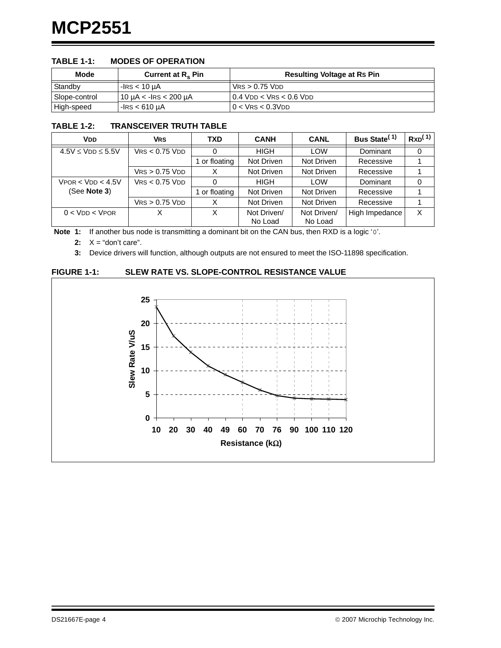#### <span id="page-3-0"></span>**TABLE 1-1: MODES OF OPERATION**

| Mode          | <b>Current at R<sub>s</sub> Pin</b> | <b>Resulting Voltage at Rs Pin</b> |
|---------------|-------------------------------------|------------------------------------|
| Standby       | $-IRS < 10 \mu A$                   | VRS > 0.75 VDD                     |
| Slope-control | 10 $\mu$ A < -IRS < 200 $\mu$ A     | $0.4$ VDD < VRS < $0.6$ VDD        |
| High-speed    | $-IRS < 610 \mu A$                  | 0 < VRS < 0.3VDD                   |

#### **TABLE 1-2: TRANSCEIVER TRUTH TABLE**

| <b>VDD</b>                 | <b>VRS</b>           | TXD         | <b>CANH</b> | <b>CANL</b> | Bus State <sup>(1)</sup> | $RxD^{(1)}$ |
|----------------------------|----------------------|-------------|-------------|-------------|--------------------------|-------------|
| $4.5V \leq VDD \leq 5.5V$  | VRS < 0.75 VDD       |             | <b>HIGH</b> | <b>LOW</b>  | Dominant                 |             |
|                            |                      | or floating | Not Driven  | Not Driven  | Recessive                |             |
|                            | $V$ RS > 0.75 $V$ DD | X           | Not Driven  | Not Driven  | Recessive                |             |
| $V$ POR < $V$ DD < 4.5 $V$ | $VRS < 0.75$ $VDD$   |             | <b>HIGH</b> | <b>LOW</b>  | Dominant                 | 0           |
| (See Note 3)               |                      | or floating | Not Driven  | Not Driven  | Recessive                |             |
|                            | VRS > 0.75 VDD       | x           | Not Driven  | Not Driven  | Recessive                |             |
| $0 <$ VDD $<$ VPOR         |                      | X           | Not Driven/ | Not Driven/ | High Impedance           | X           |
|                            |                      |             | No Load     | No Load     |                          |             |

<span id="page-3-2"></span>Note 1: If another bus node is transmitting a dominant bit on the CAN bus, then RXD is a logic '0'.

**2:** X = "don't care".

<span id="page-3-4"></span>**3:** Device drivers will function, although outputs are not ensured to meet the ISO-11898 specification.

#### <span id="page-3-3"></span><span id="page-3-1"></span>**FIGURE 1-1: SLEW RATE VS. SLOPE-CONTROL RESISTANCE VALUE**

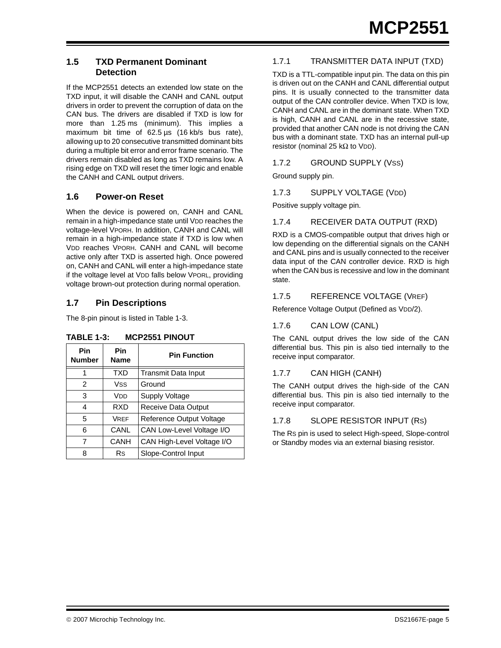## **1.5 TXD Permanent Dominant Detection**

If the MCP2551 detects an extended low state on the TXD input, it will disable the CANH and CANL output drivers in order to prevent the corruption of data on the CAN bus. The drivers are disabled if TXD is low for more than 1.25 ms (minimum). This implies a maximum bit time of 62.5 us (16 kb/s bus rate), allowing up to 20 consecutive transmitted dominant bits during a multiple bit error and error frame scenario. The drivers remain disabled as long as TXD remains low. A rising edge on TXD will reset the timer logic and enable the CANH and CANL output drivers.

## **1.6 Power-on Reset**

When the device is powered on, CANH and CANL remain in a high-impedance state until VDD reaches the voltage-level VPORH. In addition, CANH and CANL will remain in a high-impedance state if TXD is low when VDD reaches VPORH. CANH and CANL will become active only after TXD is asserted high. Once powered on, CANH and CANL will enter a high-impedance state if the voltage level at VDD falls below VPORL, providing voltage brown-out protection during normal operation.

## **1.7 Pin Descriptions**

The 8-pin pinout is listed in [Table 1-3](#page-4-0).

| <b>Pin</b><br><b>Number</b> | <b>Pin</b><br><b>Name</b> | <b>Pin Function</b>        |
|-----------------------------|---------------------------|----------------------------|
|                             | <b>TXD</b>                | Transmit Data Input        |
| 2                           | <b>Vss</b>                | Ground                     |
| 3                           | V <sub>DD</sub>           | <b>Supply Voltage</b>      |
| 4                           | RXD                       | Receive Data Output        |
| 5                           | <b>VREF</b>               | Reference Output Voltage   |
| 6                           | CANL                      | CAN Low-Level Voltage I/O  |
| 7                           | <b>CANH</b>               | CAN High-Level Voltage I/O |
| 8                           | Rs                        | Slope-Control Input        |

#### <span id="page-4-0"></span>**TABLE 1-3: MCP2551 PINOUT**

## 1.7.1 TRANSMITTER DATA INPUT (TXD)

TXD is a TTL-compatible input pin. The data on this pin is driven out on the CANH and CANL differential output pins. It is usually connected to the transmitter data output of the CAN controller device. When TXD is low, CANH and CANL are in the dominant state. When TXD is high, CANH and CANL are in the recessive state, provided that another CAN node is not driving the CAN bus with a dominant state. TXD has an internal pull-up resistor (nominal 25 k $\Omega$  to VDD).

1.7.2 GROUND SUPPLY (VSS)

Ground supply pin.

1.7.3 SUPPLY VOLTAGE (VDD)

Positive supply voltage pin.

## 1.7.4 RECEIVER DATA OUTPUT (RXD)

RXD is a CMOS-compatible output that drives high or low depending on the differential signals on the CANH and CANL pins and is usually connected to the receiver data input of the CAN controller device. RXD is high when the CAN bus is recessive and low in the dominant state.

## 1.7.5 REFERENCE VOLTAGE (VREF)

Reference Voltage Output (Defined as VDD/2).

## 1.7.6 CAN LOW (CANL)

The CANL output drives the low side of the CAN differential bus. This pin is also tied internally to the receive input comparator.

## 1.7.7 CAN HIGH (CANH)

The CANH output drives the high-side of the CAN differential bus. This pin is also tied internally to the receive input comparator.

## <span id="page-4-1"></span>1.7.8 SLOPE RESISTOR INPUT (RS)

The RS pin is used to select High-speed, Slope-control or Standby modes via an external biasing resistor.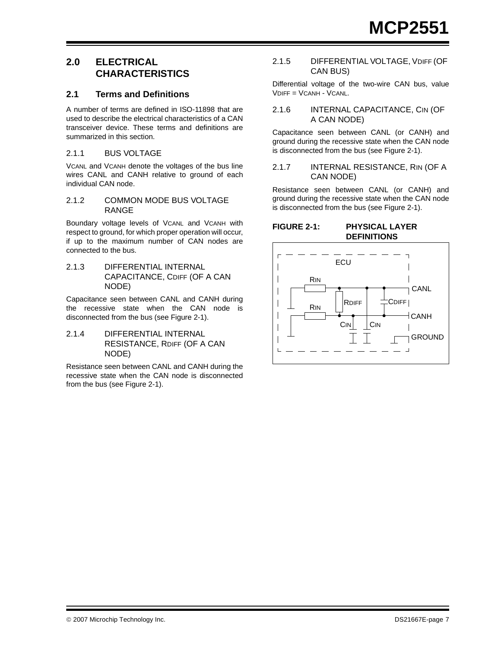## **2.0 ELECTRICAL CHARACTERISTICS**

## **2.1 Terms and Definitions**

A number of terms are defined in ISO-11898 that are used to describe the electrical characteristics of a CAN transceiver device. These terms and definitions are summarized in this section.

#### 2.1.1 BUS VOLTAGE

VCANL and VCANH denote the voltages of the bus line wires CANL and CANH relative to ground of each individual CAN node.

#### 2.1.2 COMMON MODE BUS VOLTAGE RANGE

Boundary voltage levels of VCANL and VCANH with respect to ground, for which proper operation will occur, if up to the maximum number of CAN nodes are connected to the bus.

2.1.3 DIFFERENTIAL INTERNAL CAPACITANCE, CDIFF (OF A CAN NODE)

Capacitance seen between CANL and CANH during the recessive state when the CAN node is disconnected from the bus (see [Figure 2-1\)](#page-6-0).

#### 2.1.4 DIFFERENTIAL INTERNAL RESISTANCE, RDIFF (OF A CAN NODE)

Resistance seen between CANL and CANH during the recessive state when the CAN node is disconnected from the bus (see [Figure 2-1](#page-6-0)).

#### 2.1.5 DIFFERENTIAL VOLTAGE, VDIFF (OF CAN BUS)

Differential voltage of the two-wire CAN bus, value VDIFF = VCANH - VCANL.

#### 2.1.6 INTERNAL CAPACITANCE, CIN (OF A CAN NODE)

Capacitance seen between CANL (or CANH) and ground during the recessive state when the CAN node is disconnected from the bus (see [Figure 2-1\)](#page-6-0).

#### 2.1.7 INTERNAL RESISTANCE, RIN (OF A CAN NODE)

Resistance seen between CANL (or CANH) and ground during the recessive state when the CAN node is disconnected from the bus (see [Figure 2-1\)](#page-6-0).

#### <span id="page-6-0"></span>**FIGURE 2-1: PHYSICAL LAYER DEFINITIONS**

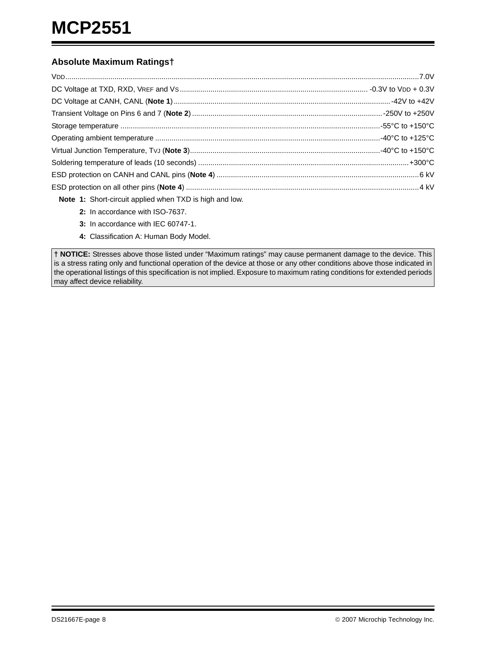## **Absolute Maximum Ratings†**

| <b>Note 1:</b> Short-circuit applied when TXD is high and low. |  |
|----------------------------------------------------------------|--|

- <span id="page-7-1"></span><span id="page-7-0"></span>**2:** In accordance with ISO-7637.
- <span id="page-7-2"></span>**3:** In accordance with IEC 60747-1.
- **4:** Classification A: Human Body Model.

<span id="page-7-3"></span>**† NOTICE:** Stresses above those listed under "Maximum ratings" may cause permanent damage to the device. This is a stress rating only and functional operation of the device at those or any other conditions above those indicated in the operational listings of this specification is not implied. Exposure to maximum rating conditions for extended periods may affect device reliability.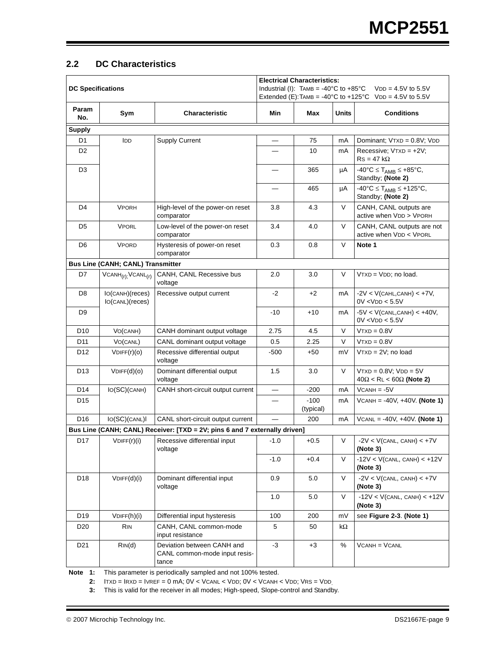## **2.2 DC Characteristics**

| <b>DC Specifications</b> |                                          |                                                                            | <b>Electrical Characteristics:</b><br>Industrial (I): TAMB = -40 $^{\circ}$ C to +85 $^{\circ}$ C<br>$VDD = 4.5V$ to 5.5V<br>Extended (E): TAMB = -40°C to +125°C VDD = 4.5V to 5.5V |                     |                   |                                                                      |  |  |  |  |
|--------------------------|------------------------------------------|----------------------------------------------------------------------------|--------------------------------------------------------------------------------------------------------------------------------------------------------------------------------------|---------------------|-------------------|----------------------------------------------------------------------|--|--|--|--|
| Param<br>No.             | Sym                                      | <b>Characteristic</b>                                                      | Min<br>Max<br>Units                                                                                                                                                                  |                     | <b>Conditions</b> |                                                                      |  |  |  |  |
| <b>Supply</b>            |                                          |                                                                            |                                                                                                                                                                                      |                     |                   |                                                                      |  |  |  |  |
| D1                       | IDD                                      | <b>Supply Current</b>                                                      |                                                                                                                                                                                      | 75                  | mA                | Dominant; VTXD = 0.8V; VDD                                           |  |  |  |  |
| D <sub>2</sub>           |                                          |                                                                            |                                                                                                                                                                                      | 10                  | mA                | Recessive; $VTXD = +2V$ ;<br>$Rs = 47 k\Omega$                       |  |  |  |  |
| D <sub>3</sub>           |                                          |                                                                            |                                                                                                                                                                                      | 365                 | μA                | $-40^{\circ}C \leq T_{AMB} \leq +85^{\circ}C,$<br>Standby; (Note 2)  |  |  |  |  |
|                          |                                          |                                                                            |                                                                                                                                                                                      | 465                 | μA                | $-40^{\circ}C \leq T_{AMB} \leq +125^{\circ}C,$<br>Standby; (Note 2) |  |  |  |  |
| D <sub>4</sub>           | <b>VPORH</b>                             | High-level of the power-on reset<br>comparator                             | 3.8                                                                                                                                                                                  | 4.3                 | $\vee$            | CANH, CANL outputs are<br>active when VDD > VPORH                    |  |  |  |  |
| D <sub>5</sub>           | <b>VPORL</b>                             | Low-level of the power-on reset<br>comparator                              | 3.4                                                                                                                                                                                  | 4.0                 | V                 | CANH, CANL outputs are not<br>active when VDD < VPORL                |  |  |  |  |
| D <sub>6</sub>           | <b>VPORD</b>                             | Hysteresis of power-on reset<br>comparator                                 | 0.3                                                                                                                                                                                  | 0.8                 | V                 | Note 1                                                               |  |  |  |  |
|                          | <b>Bus Line (CANH; CANL) Transmitter</b> |                                                                            |                                                                                                                                                                                      |                     |                   |                                                                      |  |  |  |  |
| D7                       | $VCANH_{(r)}:VCANL_{(r)}$                | CANH, CANL Recessive bus<br>voltage                                        | 2.0                                                                                                                                                                                  | 3.0                 | V                 | $VTXD = VDD$ : no load.                                              |  |  |  |  |
| D <sub>8</sub>           | IO(CANH)(reces)<br>IO(CANL)(reces)       | Recessive output current                                                   | $-2$                                                                                                                                                                                 | +2                  | mA                | $-2V < V(CAHL,CANH) < +7V$ ,<br>$0V$ <vdd 5.5v<="" <="" td=""></vdd> |  |  |  |  |
| D9                       |                                          |                                                                            | -10                                                                                                                                                                                  | $+10$               | mA                | $-5V < V(CANL,CANH) < +40V$<br>0V < VDD < 5.5V                       |  |  |  |  |
| D <sub>10</sub>          | VO(CANH)                                 | CANH dominant output voltage                                               | 2.75                                                                                                                                                                                 | 4.5                 | V                 | $V$ TXD = 0.8V                                                       |  |  |  |  |
| D <sub>11</sub>          | VO(CANL)                                 | CANL dominant output voltage                                               | 0.5                                                                                                                                                                                  | 2.25                | V                 | $V$ txd = 0.8 $V$                                                    |  |  |  |  |
| D <sub>12</sub>          | $V$ DIFF $(r)(o)$                        | Recessive differential output<br>voltage                                   | -500                                                                                                                                                                                 | $+50$               | mV                | $VTXD = 2V$ ; no load                                                |  |  |  |  |
| D <sub>13</sub>          | $V$ DIFF $(d)(o)$                        | Dominant differential output<br>voltage                                    | 1.5                                                                                                                                                                                  | 3.0                 | V                 | $VTXD = 0.8V$ ; $VDD = 5V$<br>$40\Omega < R L < 60\Omega$ (Note 2)   |  |  |  |  |
| D <sub>14</sub>          | IO(SC)(CANH)                             | CANH short-circuit output current                                          |                                                                                                                                                                                      | $-200$              | mA                | $VCANH = -5V$                                                        |  |  |  |  |
| D <sub>15</sub>          |                                          |                                                                            |                                                                                                                                                                                      | $-100$<br>(typical) | mA                | VCANH = -40V, +40V. <b>(Note 1)</b>                                  |  |  |  |  |
| D <sub>16</sub>          | IO(SC)(CANL)                             | CANL short-circuit output current                                          |                                                                                                                                                                                      | 200                 | mA                | VCANL = $-40V$ , $+40V$ . (Note 1)                                   |  |  |  |  |
|                          |                                          | Bus Line (CANH; CANL) Receiver: [TXD = 2V; pins 6 and 7 externally driven] |                                                                                                                                                                                      |                     |                   |                                                                      |  |  |  |  |
| D <sub>17</sub>          | VDIFF(r)(i)                              | Recessive differential input<br>voltage                                    | $-1.0$                                                                                                                                                                               | $+0.5$              | V                 | $-2V < V(CANL, CANH) < +7V$<br>(Note 3)                              |  |  |  |  |
|                          |                                          |                                                                            | $-1.0$                                                                                                                                                                               | $+0.4$              | V                 | $-12V < V(CANL, CANH) < +12V$<br>(Note 3)                            |  |  |  |  |
| D <sub>18</sub>          | VDIFF(d)(i)                              | Dominant differential input<br>voltage                                     | 0.9                                                                                                                                                                                  | 5.0                 | V                 | $-2V < V(CANL, CANH) < +7V$<br>(Note 3)                              |  |  |  |  |
|                          |                                          |                                                                            | 1.0                                                                                                                                                                                  | 5.0                 | $\vee$            | $-12V < V(CANL, CANH) < +12V$<br>(Note 3)                            |  |  |  |  |
| D <sub>19</sub>          | VDIFF(h)(i)                              | Differential input hysteresis                                              | 100                                                                                                                                                                                  | 200                 | mV                | see Figure 2-3. (Note 1)                                             |  |  |  |  |
| D <sub>20</sub>          | <b>RIN</b>                               | CANH, CANL common-mode<br>input resistance                                 | 5                                                                                                                                                                                    | 50                  | $k\Omega$         |                                                                      |  |  |  |  |
| D <sub>21</sub>          | RIN(d)                                   | Deviation between CANH and<br>CANL common-mode input resis-<br>tance       | $-3$                                                                                                                                                                                 | +3                  | %                 | $VCANH = VCANL$                                                      |  |  |  |  |

<span id="page-8-2"></span><span id="page-8-1"></span><span id="page-8-0"></span>**Note 1:** This parameter is periodically sampled and not 100% tested.

**2:** ITXD = IRXD = IVREF = 0 mA; 0V < VCANL < VDD; 0V < VCANH < VDD; VRS = VDD.

**3:** This is valid for the receiver in all modes; High-speed, Slope-control and Standby.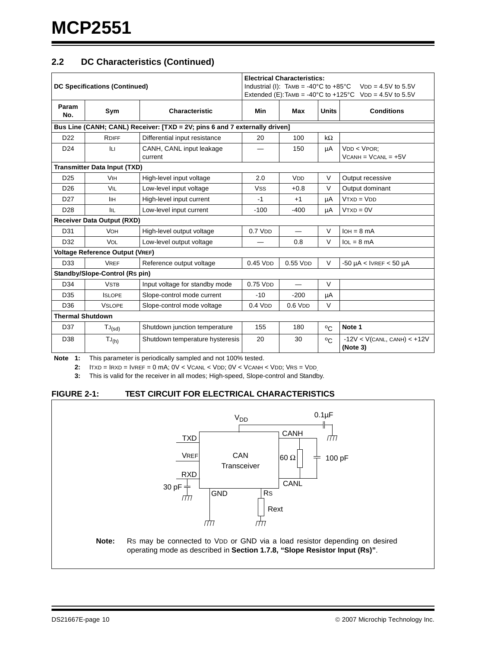## **2.2 DC Characteristics (Continued)**

| <b>DC Specifications (Continued)</b> |                                        |                                                                            | <b>Electrical Characteristics:</b><br>Industrial (I): $TAMB = -40^{\circ}C$ to $+85^{\circ}C$<br>$VDD = 4.5V$ to 5.5V<br>Extended (E): TAMB = -40°C to +125°C VDD = 4.5V to 5.5V |                          |              |                                           |  |
|--------------------------------------|----------------------------------------|----------------------------------------------------------------------------|----------------------------------------------------------------------------------------------------------------------------------------------------------------------------------|--------------------------|--------------|-------------------------------------------|--|
| Param<br>No.                         | Sym                                    | Characteristic                                                             | Min                                                                                                                                                                              | Max                      | <b>Units</b> | <b>Conditions</b>                         |  |
|                                      |                                        | Bus Line (CANH; CANL) Receiver: [TXD = 2V; pins 6 and 7 externally driven] |                                                                                                                                                                                  |                          |              |                                           |  |
| D <sub>22</sub>                      | <b>RDIFF</b>                           | Differential input resistance                                              | 20                                                                                                                                                                               | 100                      | $k\Omega$    |                                           |  |
| D <sub>24</sub>                      | ĪЦ                                     | CANH, CANL input leakage<br>current                                        |                                                                                                                                                                                  | 150                      | μA           | $VDD < VPOP$ :<br>$VCANH = VCANL = +5V$   |  |
|                                      | <b>Transmitter Data Input (TXD)</b>    |                                                                            |                                                                                                                                                                                  |                          |              |                                           |  |
| D <sub>25</sub>                      | <b>VIH</b>                             | High-level input voltage                                                   | 2.0                                                                                                                                                                              | V <sub>DD</sub>          | V            | Output recessive                          |  |
| D <sub>26</sub>                      | VIL                                    | Low-level input voltage                                                    | <b>Vss</b>                                                                                                                                                                       | $+0.8$                   | V            | Output dominant                           |  |
| D <sub>27</sub>                      | <b>IIH</b>                             | High-level input current                                                   | $-1$                                                                                                                                                                             | $+1$                     | μA           | $VTXD = VDD$                              |  |
| D <sub>28</sub>                      | <b>IIL</b>                             | Low-level input current                                                    | $-100$                                                                                                                                                                           | $-400$                   | μA           | $VTXD = 0V$                               |  |
|                                      | <b>Receiver Data Output (RXD)</b>      |                                                                            |                                                                                                                                                                                  |                          |              |                                           |  |
| D31                                  | <b>VOH</b>                             | High-level output voltage                                                  | $0.7$ V <sub>D</sub> $D$                                                                                                                                                         | $\equiv$                 | $\vee$       | $IOH = 8 mA$                              |  |
| D32                                  | <b>VOL</b>                             | Low-level output voltage                                                   |                                                                                                                                                                                  | 0.8                      | V            | $IOL = 8 mA$                              |  |
|                                      | <b>Voltage Reference Output (VREF)</b> |                                                                            |                                                                                                                                                                                  |                          |              |                                           |  |
| D33                                  | <b>VREF</b>                            | Reference output voltage                                                   | 0.45 VDD                                                                                                                                                                         | 0.55 VDD                 | V            | $-50$ µA < IVREF < 50 µA                  |  |
|                                      | Standby/Slope-Control (Rs pin)         |                                                                            |                                                                                                                                                                                  |                          |              |                                           |  |
| D34                                  | <b>VSTB</b>                            | Input voltage for standby mode                                             | 0.75 VDD                                                                                                                                                                         |                          | $\vee$       |                                           |  |
| D35                                  | <b>ISLOPE</b>                          | Slope-control mode current                                                 | $-10$                                                                                                                                                                            | $-200$                   | μA           |                                           |  |
| D <sub>36</sub>                      | <b>VSLOPE</b>                          | Slope-control mode voltage                                                 | $0.4$ V <sub>D</sub> $D$                                                                                                                                                         | $0.6$ V <sub>D</sub> $D$ | V            |                                           |  |
| <b>Thermal Shutdown</b>              |                                        |                                                                            |                                                                                                                                                                                  |                          |              |                                           |  |
| D37                                  | $TJ_{(sd)}$                            | Shutdown junction temperature                                              | 155                                                                                                                                                                              | 180                      | $^{\circ}$ C | Note 1                                    |  |
| D38                                  | $TJ_{(h)}$                             | Shutdown temperature hysteresis                                            | 20                                                                                                                                                                               | 30                       | $^{\circ}$ C | $-12V < V(CANL, CANH) < +12V$<br>(Note 3) |  |

**Note 1:** This parameter is periodically sampled and not 100% tested.

**2:** ITXD = IRXD = IVREF = 0 mA; 0V < VCANL < VDD; 0V < VCANH < VDD; VRS = VDD; 3: This is valid for the receiver in all modes; High-speed, Slope-control and Standb

**3:** This is valid for the receiver in all modes; High-speed, Slope-control and Standby.

## **FIGURE 2-1: TEST CIRCUIT FOR ELECTRICAL CHARACTERISTICS**

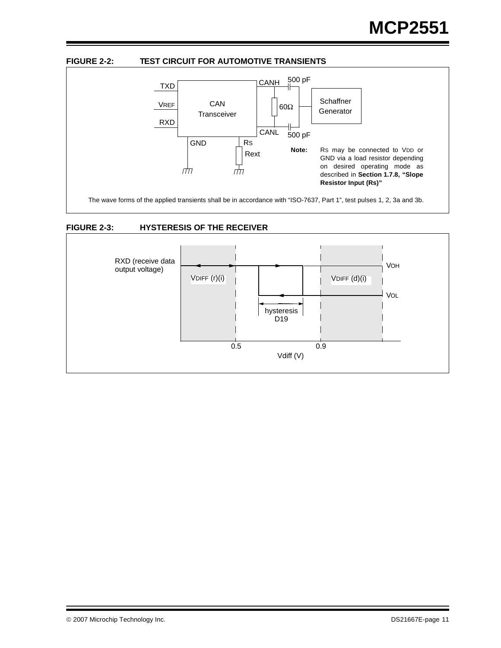#### **FIGURE 2-2: TEST CIRCUIT FOR AUTOMOTIVE TRANSIENTS**



#### <span id="page-10-0"></span>**FIGURE 2-3: HYSTERESIS OF THE RECEIVER**

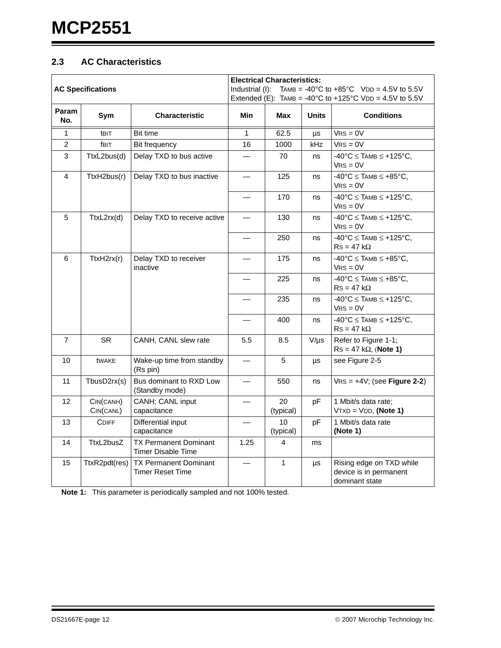## **2.3 AC Characteristics**

| <b>AC Specifications</b> |                        |                                                           | <b>Electrical Characteristics:</b><br>TAMB = $-40^{\circ}$ C to $+85^{\circ}$ C VDD = 4.5V to 5.5V<br>Industrial (I):<br>Extended (E): TAMB = -40°C to +125°C VDD = 4.5V to 5.5V |                 |              |                                                                      |
|--------------------------|------------------------|-----------------------------------------------------------|----------------------------------------------------------------------------------------------------------------------------------------------------------------------------------|-----------------|--------------|----------------------------------------------------------------------|
| Param<br>No.             | Sym                    | <b>Characteristic</b>                                     | <b>Min</b>                                                                                                                                                                       | <b>Max</b>      | <b>Units</b> | <b>Conditions</b>                                                    |
| $\mathbf{1}$             | tbit                   | <b>Bit time</b>                                           | 1                                                                                                                                                                                | 62.5            | μs           | $VRS = 0V$                                                           |
| $\overline{2}$           | fbit                   | Bit frequency                                             | 16                                                                                                                                                                               | 1000            | kHz          | $VRS = 0V$                                                           |
| 3                        | TtxL2bus(d)            | Delay TXD to bus active                                   |                                                                                                                                                                                  | 70              | ns           | $-40^{\circ}C \leq$ TAMB $\leq$ +125°C,<br>$VRS = 0V$                |
| 4                        | TtxH2bus(r)            | Delay TXD to bus inactive                                 |                                                                                                                                                                                  | 125             | ns           | $-40^{\circ}C \leq$ TAMB $\leq +85^{\circ}C$ ,<br>$VRS = 0V$         |
|                          |                        |                                                           |                                                                                                                                                                                  | 170             | ns           | $-40^{\circ}C \leq$ TAMB $\leq$ +125°C,<br>$VRS = 0V$                |
| 5                        | TtxL2rx(d)             | Delay TXD to receive active                               |                                                                                                                                                                                  | 130             | ns           | $-40^{\circ}$ C $\leq$ TAMB $\leq$ +125°C,<br>$VRS = 0V$             |
|                          |                        |                                                           |                                                                                                                                                                                  | 250             | ns           | $-40^{\circ}$ C $\leq$ TAMB $\leq$ +125°C,<br>$Rs = 47 k\Omega$      |
| 6                        | TtxH2rx(r)             | Delay TXD to receiver<br>inactive                         |                                                                                                                                                                                  | 175             | ns           | $-40^{\circ}C \leq$ TAMB $\leq +85^{\circ}C$ ,<br>$VRS = 0V$         |
|                          |                        |                                                           |                                                                                                                                                                                  | 225             | ns           | $-40^{\circ}$ C $\leq$ TAMB $\leq$ +85°C,<br>$Rs = 47 k\Omega$       |
|                          |                        |                                                           |                                                                                                                                                                                  | 235             | ns           | $-40^{\circ}$ C $\leq$ TAMB $\leq$ +125°C,<br>$VRS = 0V$             |
|                          |                        |                                                           |                                                                                                                                                                                  | 400             | ns           | $-40^{\circ}$ C $\leq$ TAMB $\leq$ +125°C,<br>$Rs = 47 k\Omega$      |
| $\overline{7}$           | <b>SR</b>              | CANH, CANL slew rate                                      | 5.5                                                                                                                                                                              | 8.5             | $V/\mu s$    | Refer to Figure 1-1;<br>$Rs = 47 k\Omega$ , (Note 1)                 |
| 10                       | tWAKE                  | Wake-up time from standby<br>(Rs pin)                     |                                                                                                                                                                                  | 5               | μs           | see Figure 2-5                                                       |
| 11                       | TbusD2rx(s)            | Bus dominant to RXD Low<br>(Standby mode)                 |                                                                                                                                                                                  | 550             | ns           | $VRS = +4V$ ; (see Figure 2-2)                                       |
| 12                       | CIN(CANH)<br>CIN(CANL) | CANH; CANL input<br>capacitance                           |                                                                                                                                                                                  | 20<br>(typical) | pF           | 1 Mbit/s data rate;<br>$VTXD = VDD$ , (Note 1)                       |
| 13                       | <b>CDIFF</b>           | Differential input<br>capacitance                         |                                                                                                                                                                                  | 10<br>(typical) | pF           | 1 Mbit/s data rate<br>(Note 1)                                       |
| 14                       | TtxL2busZ              | <b>TX Permanent Dominant</b><br><b>Timer Disable Time</b> | 1.25                                                                                                                                                                             | 4               | ms           |                                                                      |
| 15                       | TtxR2pdt(res)          | <b>TX Permanent Dominant</b><br><b>Timer Reset Time</b>   |                                                                                                                                                                                  | $\mathbf{1}$    | μs           | Rising edge on TXD while<br>device is in permanent<br>dominant state |

<span id="page-11-0"></span>**Note 1:** This parameter is periodically sampled and not 100% tested.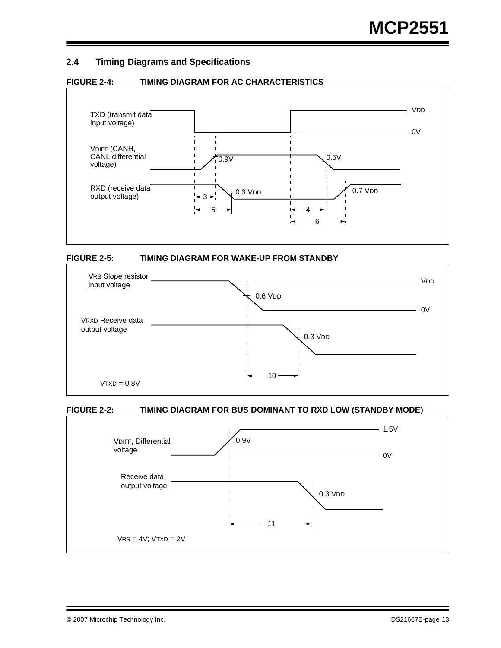## **2.4 Timing Diagrams and Specifications**





<span id="page-12-0"></span>



<span id="page-12-1"></span>**FIGURE 2-2: TIMING DIAGRAM FOR BUS DOMINANT TO RXD LOW (STANDBY MODE)**

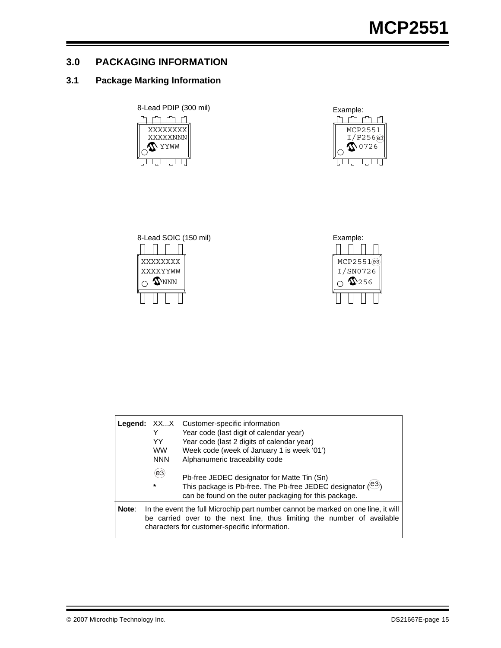## **3.0 PACKAGING INFORMATION**

## **3.1 Package Marking Information**



|       | Legend: XXX<br>YY<br><b>WW</b><br><b>NNN</b><br>(e3)<br>$\star$ | Customer-specific information<br>Year code (last digit of calendar year)<br>Year code (last 2 digits of calendar year)<br>Week code (week of January 1 is week '01')<br>Alphanumeric traceability code<br>Pb-free JEDEC designator for Matte Tin (Sn)<br>This package is Pb-free. The Pb-free JEDEC designator $(\ee3)$<br>can be found on the outer packaging for this package. |
|-------|-----------------------------------------------------------------|----------------------------------------------------------------------------------------------------------------------------------------------------------------------------------------------------------------------------------------------------------------------------------------------------------------------------------------------------------------------------------|
| Note: |                                                                 | In the event the full Microchip part number cannot be marked on one line, it will<br>be carried over to the next line, thus limiting the number of available<br>characters for customer-specific information.                                                                                                                                                                    |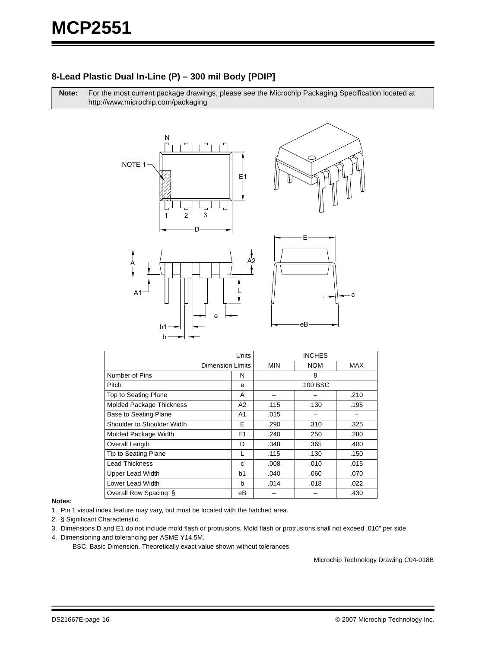## **8-Lead Plastic Dual In-Line (P) – 300 mil Body [PDIP]**

**Note:** For the most current package drawings, please see the Microchip Packaging Specification located at http://www.microchip.com/packaging



|                                 | <b>INCHES</b>           |      |            |            |  |  |  |
|---------------------------------|-------------------------|------|------------|------------|--|--|--|
|                                 | <b>Dimension Limits</b> |      | <b>NOM</b> | <b>MAX</b> |  |  |  |
| Number of Pins                  | N                       |      | 8          |            |  |  |  |
| Pitch                           | e                       |      | .100 BSC   |            |  |  |  |
| Top to Seating Plane            | A                       |      |            | .210       |  |  |  |
| <b>Molded Package Thickness</b> | A2                      | .115 | .130       | .195       |  |  |  |
| Base to Seating Plane           | A1                      | .015 |            |            |  |  |  |
| Shoulder to Shoulder Width      | E                       | .290 | .310       | .325       |  |  |  |
| Molded Package Width            | E <sub>1</sub>          | .240 | .250       | .280       |  |  |  |
| Overall Length                  | D                       | .348 | .365       | .400       |  |  |  |
| Tip to Seating Plane            |                         | .115 | .130       | .150       |  |  |  |
| <b>Lead Thickness</b>           | C                       | .008 | .010       | .015       |  |  |  |
| <b>Upper Lead Width</b>         | b1                      | .040 | .060       | .070       |  |  |  |
| Lower Lead Width                | b                       | .014 | .018       | .022       |  |  |  |
| Overall Row Spacing §           | eВ                      |      |            | .430       |  |  |  |

#### **Notes:**

1. Pin 1 visual index feature may vary, but must be located with the hatched area.

2. § Significant Characteristic.

3. Dimensions D and E1 do not include mold flash or protrusions. Mold flash or protrusions shall not exceed .010" per side.

4. Dimensioning and tolerancing per ASME Y14.5M.

BSC: Basic Dimension. Theoretically exact value shown without tolerances.

Microchip Technology Drawing C04-018B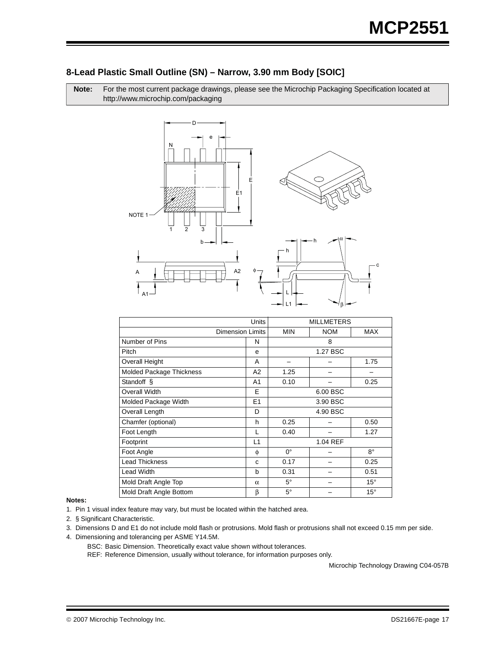## **8-Lead Plastic Small Outline (SN) – Narrow, 3.90 mm Body [SOIC]**

**Note:** For the most current package drawings, please see the Microchip Packaging Specification located at http://www.microchip.com/packaging



|                          | Units    |                            |            | <b>MILLMETERS</b> |  |
|--------------------------|----------|----------------------------|------------|-------------------|--|
| <b>Dimension Limits</b>  |          | <b>MIN</b>                 | <b>NOM</b> | <b>MAX</b>        |  |
| Number of Pins           | N        |                            | 8          |                   |  |
| Pitch                    | e        |                            | 1.27 BSC   |                   |  |
| Overall Height           | A        |                            |            | 1.75              |  |
| Molded Package Thickness | A2       | 1.25                       |            |                   |  |
| Standoff §               | A1       | 0.10                       |            | 0.25              |  |
| Overall Width            | E        | 6.00 BSC                   |            |                   |  |
| Molded Package Width     | E1       | 3.90 BSC                   |            |                   |  |
| Overall Length           | D        | 4.90 BSC                   |            |                   |  |
| Chamfer (optional)       | h        | 0.25<br>0.50               |            |                   |  |
| Foot Length              | L        | 0.40<br>1.27               |            |                   |  |
| Footprint                | L1       | 1.04 REF                   |            |                   |  |
| Foot Angle               | φ        | $8^{\circ}$<br>$0^{\circ}$ |            |                   |  |
| <b>Lead Thickness</b>    | C        | 0.17<br>0.25               |            |                   |  |
| <b>Lead Width</b>        | b        | 0.31<br>0.51               |            |                   |  |
| Mold Draft Angle Top     | $\alpha$ | $5^{\circ}$                |            | $15^{\circ}$      |  |
| Mold Draft Angle Bottom  | β        | $5^{\circ}$                |            | $15^{\circ}$      |  |

#### **Notes:**

1. Pin 1 visual index feature may vary, but must be located within the hatched area.

2. § Significant Characteristic.

3. Dimensions D and E1 do not include mold flash or protrusions. Mold flash or protrusions shall not exceed 0.15 mm per side.

4. Dimensioning and tolerancing per ASME Y14.5M.

BSC: Basic Dimension. Theoretically exact value shown without tolerances.

REF: Reference Dimension, usually without tolerance, for information purposes only.

Microchip Technology Drawing C04-057B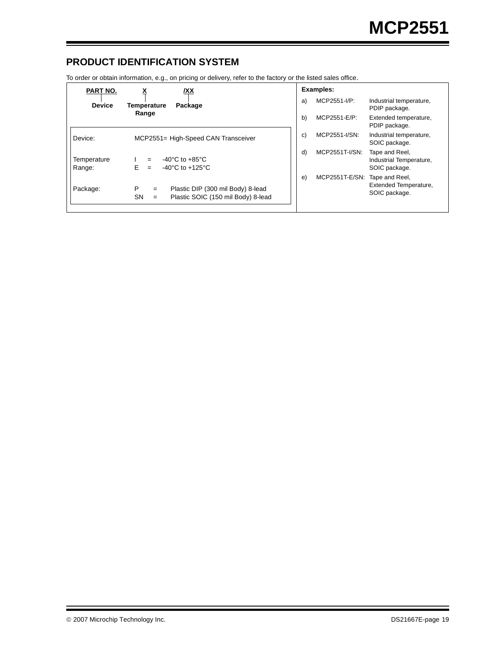## **PRODUCT IDENTIFICATION SYSTEM**

To order or obtain information, e.g., on pricing or delivery, refer to the factory or the listed sales office.

| PART NO.              | /XX                                                                                                     |    | Examples:                     |                                                            |
|-----------------------|---------------------------------------------------------------------------------------------------------|----|-------------------------------|------------------------------------------------------------|
| <b>Device</b>         | Package<br><b>Temperature</b>                                                                           | a) | MCP2551-I/P:                  | Industrial temperature,<br>PDIP package.                   |
| Range                 |                                                                                                         | b) | MCP2551-E/P:                  | Extended temperature,<br>PDIP package.                     |
| Device:               | MCP2551= High-Speed CAN Transceiver                                                                     | c) | MCP2551-I/SN:                 | Industrial temperature,<br>SOIC package.                   |
| Temperature<br>Range: | $-40^{\circ}$ C to $+85^{\circ}$ C<br>$=$<br>$F -$<br>$-40^{\circ}$ C to $+125^{\circ}$ C<br>$=$        | d) | MCP2551T-I/SN:                | Tape and Reel,<br>Industrial Temperature,<br>SOIC package. |
|                       |                                                                                                         | e) | MCP2551T-E/SN: Tape and Reel, |                                                            |
| Package:              | P<br>Plastic DIP (300 mil Body) 8-lead<br>$=$<br><b>SN</b><br>Plastic SOIC (150 mil Body) 8-lead<br>$=$ |    |                               | Extended Temperature,<br>SOIC package.                     |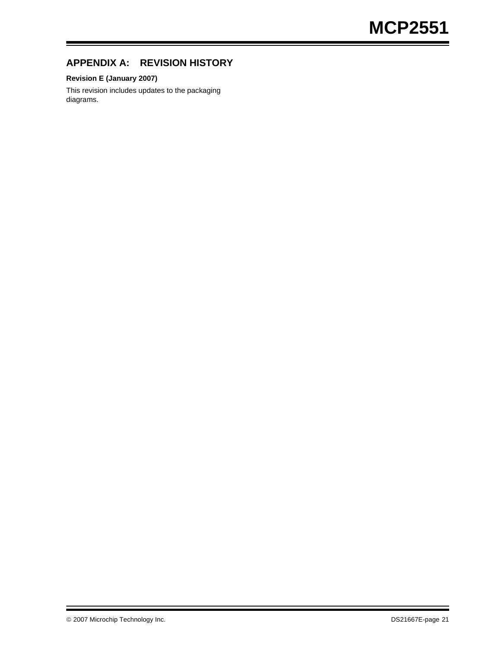## **APPENDIX A: REVISION HISTORY**

#### **Revision E (January 2007)**

This revision includes updates to the packaging diagrams.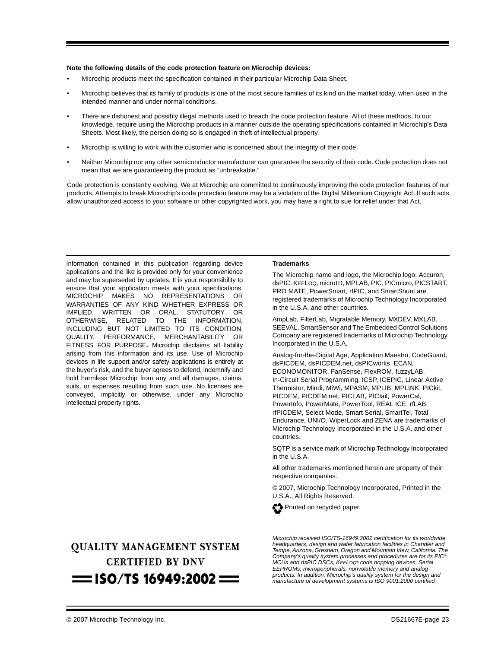#### **Note the following details of the code protection feature on Microchip devices:**

- Microchip products meet the specification contained in their particular Microchip Data Sheet.
- Microchip believes that its family of products is one of the most secure families of its kind on the market today, when used in the intended manner and under normal conditions.
- There are dishonest and possibly illegal methods used to breach the code protection feature. All of these methods, to our knowledge, require using the Microchip products in a manner outside the operating specifications contained in Microchip's Data Sheets. Most likely, the person doing so is engaged in theft of intellectual property.
- Microchip is willing to work with the customer who is concerned about the integrity of their code.
- Neither Microchip nor any other semiconductor manufacturer can guarantee the security of their code. Code protection does not mean that we are guaranteeing the product as "unbreakable."

Code protection is constantly evolving. We at Microchip are committed to continuously improving the code protection features of our products. Attempts to break Microchip's code protection feature may be a violation of the Digital Millennium Copyright Act. If such acts allow unauthorized access to your software or other copyrighted work, you may have a right to sue for relief under that Act.

Information contained in this publication regarding device applications and the like is provided only for your convenience and may be superseded by updates. It is your responsibility to ensure that your application meets with your specifications. MICROCHIP MAKES NO REPRESENTATIONS OR WARRANTIES OF ANY KIND WHETHER EXPRESS OR IMPLIED, WRITTEN OR ORAL, STATUTORY OR OTHERWISE, RELATED TO THE INFORMATION, INCLUDING BUT NOT LIMITED TO ITS CONDITION, QUALITY, PERFORMANCE, MERCHANTABILITY OR FITNESS FOR PURPOSE**.** Microchip disclaims all liability arising from this information and its use. Use of Microchip devices in life support and/or safety applications is entirely at the buyer's risk, and the buyer agrees to defend, indemnify and hold harmless Microchip from any and all damages, claims, suits, or expenses resulting from such use. No licenses are conveyed, implicitly or otherwise, under any Microchip intellectual property rights.

# **OUALITY MANAGEMENT SYSTEM CERTIFIED BY DNV**  $=$  ISO/TS 16949:2002  $=$

#### **Trademarks**

The Microchip name and logo, the Microchip logo, Accuron, dsPIC, KEELOQ, microID, MPLAB, PIC, PICmicro, PICSTART, PRO MATE, PowerSmart, rfPIC, and SmartShunt are registered trademarks of Microchip Technology Incorporated in the U.S.A. and other countries.

AmpLab, FilterLab, Migratable Memory, MXDEV, MXLAB, SEEVAL, SmartSensor and The Embedded Control Solutions Company are registered trademarks of Microchip Technology Incorporated in the U.S.A.

Analog-for-the-Digital Age, Application Maestro, CodeGuard, dsPICDEM, dsPICDEM.net, dsPICworks, ECAN, ECONOMONITOR, FanSense, FlexROM, fuzzyLAB, In-Circuit Serial Programming, ICSP, ICEPIC, Linear Active Thermistor, Mindi, MiWi, MPASM, MPLIB, MPLINK, PICkit, PICDEM, PICDEM.net, PICLAB, PICtail, PowerCal, PowerInfo, PowerMate, PowerTool, REAL ICE, rfLAB, rfPICDEM, Select Mode, Smart Serial, SmartTel, Total Endurance, UNI/O, WiperLock and ZENA are trademarks of Microchip Technology Incorporated in the U.S.A. and other countries.

SQTP is a service mark of Microchip Technology Incorporated in the U.S.A.

All other trademarks mentioned herein are property of their respective companies.

© 2007, Microchip Technology Incorporated, Printed in the U.S.A., All Rights Reserved.



Printed on recycled paper.

*Microchip received ISO/TS-16949:2002 certification for its worldwide headquarters, design and wafer fabrication facilities in Chandler and Tempe, Arizona, Gresham, Oregon and Mountain View, California. The Company's quality system processes and procedures are for its PIC® MCUs and dsPIC DSCs, KEELOQ® code hopping devices, Serial EEPROMs, microperipherals, nonvolatile memory and analog products. In addition, Microchip's quality system for the design and manufacture of development systems is ISO 9001:2000 certified.*